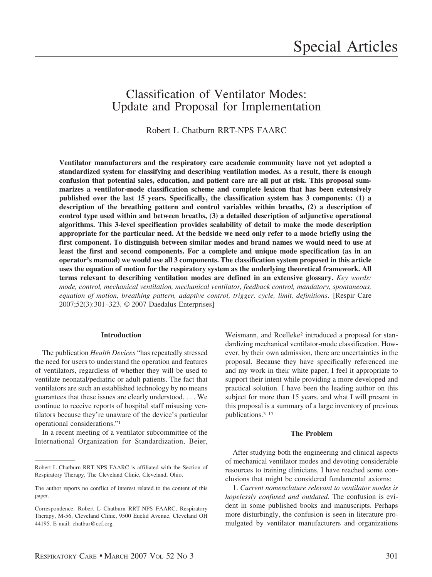# Classification of Ventilator Modes: Update and Proposal for Implementation

Robert L Chatburn RRT-NPS FAARC

**Ventilator manufacturers and the respiratory care academic community have not yet adopted a standardized system for classifying and describing ventilation modes. As a result, there is enough confusion that potential sales, education, and patient care are all put at risk. This proposal summarizes a ventilator-mode classification scheme and complete lexicon that has been extensively published over the last 15 years. Specifically, the classification system has 3 components: (1) a description of the breathing pattern and control variables within breaths, (2) a description of control type used within and between breaths, (3) a detailed description of adjunctive operational algorithms. This 3-level specification provides scalability of detail to make the mode description appropriate for the particular need. At the bedside we need only refer to a mode briefly using the first component. To distinguish between similar modes and brand names we would need to use at least the first and second components. For a complete and unique mode specification (as in an operator's manual) we would use all 3 components. The classification system proposed in this article uses the equation of motion for the respiratory system as the underlying theoretical framework. All terms relevant to describing ventilation modes are defined in an extensive glossary.** *Key words: mode, control, mechanical ventilation, mechanical ventilator, feedback control, mandatory, spontaneous, equation of motion, breathing pattern, adaptive control, trigger, cycle, limit, definitions*. [Respir Care 2007;52(3):301–323. © 2007 Daedalus Enterprises]

## **Introduction**

The publication *Health Devices* "has repeatedly stressed the need for users to understand the operation and features of ventilators, regardless of whether they will be used to ventilate neonatal/pediatric or adult patients. The fact that ventilators are such an established technology by no means guarantees that these issues are clearly understood. . . . We continue to receive reports of hospital staff misusing ventilators because they're unaware of the device's particular operational considerations."1

In a recent meeting of a ventilator subcommittee of the International Organization for Standardization, Beier,

Weismann, and Roelleke<sup>2</sup> introduced a proposal for standardizing mechanical ventilator-mode classification. However, by their own admission, there are uncertainties in the proposal. Because they have specifically referenced me and my work in their white paper, I feel it appropriate to support their intent while providing a more developed and practical solution. I have been the leading author on this subject for more than 15 years, and what I will present in this proposal is a summary of a large inventory of previous publications.3–17

# **The Problem**

After studying both the engineering and clinical aspects of mechanical ventilator modes and devoting considerable resources to training clinicians, I have reached some conclusions that might be considered fundamental axioms:

1. *Current nomenclature relevant to ventilator modes is hopelessly confused and outdated*. The confusion is evident in some published books and manuscripts. Perhaps more disturbingly, the confusion is seen in literature promulgated by ventilator manufacturers and organizations

Robert L Chatburn RRT-NPS FAARC is affiliated with the Section of Respiratory Therapy, The Cleveland Clinic, Cleveland, Ohio.

The author reports no conflict of interest related to the content of this paper.

Correspondence: Robert L Chatburn RRT-NPS FAARC, Respiratory Therapy, M-56, Cleveland Clinic, 9500 Euclid Avenue, Cleveland OH 44195. E-mail: chatbur@ccf.org.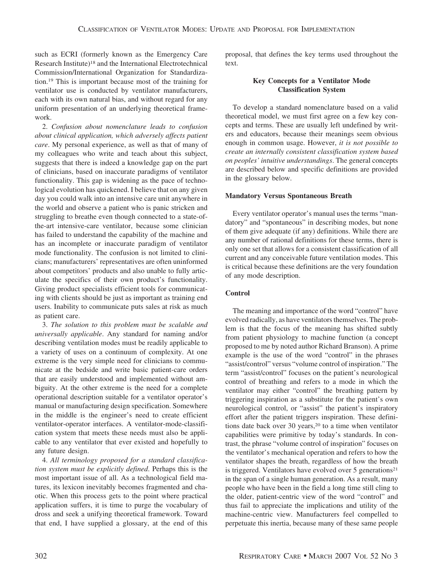such as ECRI (formerly known as the Emergency Care Research Institute)18 and the International Electrotechnical Commission/International Organization for Standardization.19 This is important because most of the training for ventilator use is conducted by ventilator manufacturers, each with its own natural bias, and without regard for any uniform presentation of an underlying theoretical framework.

2. *Confusion about nomenclature leads to confusion about clinical application, which adversely affects patient care*. My personal experience, as well as that of many of my colleagues who write and teach about this subject, suggests that there is indeed a knowledge gap on the part of clinicians, based on inaccurate paradigms of ventilator functionality. This gap is widening as the pace of technological evolution has quickened. I believe that on any given day you could walk into an intensive care unit anywhere in the world and observe a patient who is panic stricken and struggling to breathe even though connected to a state-ofthe-art intensive-care ventilator, because some clinician has failed to understand the capability of the machine and has an incomplete or inaccurate paradigm of ventilator mode functionality. The confusion is not limited to clinicians; manufacturers' representatives are often uninformed about competitors' products and also unable to fully articulate the specifics of their own product's functionality. Giving product specialists efficient tools for communicating with clients should be just as important as training end users. Inability to communicate puts sales at risk as much as patient care.

3. *The solution to this problem must be scalable and universally applicable*. Any standard for naming and/or describing ventilation modes must be readily applicable to a variety of uses on a continuum of complexity. At one extreme is the very simple need for clinicians to communicate at the bedside and write basic patient-care orders that are easily understood and implemented without ambiguity. At the other extreme is the need for a complete operational description suitable for a ventilator operator's manual or manufacturing design specification. Somewhere in the middle is the engineer's need to create efficient ventilator-operator interfaces. A ventilator-mode-classification system that meets these needs must also be applicable to any ventilator that ever existed and hopefully to any future design.

4. *All terminology proposed for a standard classification system must be explicitly defined*. Perhaps this is the most important issue of all. As a technological field matures, its lexicon inevitably becomes fragmented and chaotic. When this process gets to the point where practical application suffers, it is time to purge the vocabulary of dross and seek a unifying theoretical framework. Toward that end, I have supplied a glossary, at the end of this proposal, that defines the key terms used throughout the text.

## **Key Concepts for a Ventilator Mode Classification System**

To develop a standard nomenclature based on a valid theoretical model, we must first agree on a few key concepts and terms. These are usually left undefined by writers and educators, because their meanings seem obvious enough in common usage. However, *it is not possible to create an internally consistent classification system based on peoples' intuitive understandings*. The general concepts are described below and specific definitions are provided in the glossary below.

## **Mandatory Versus Spontaneous Breath**

Every ventilator operator's manual uses the terms "mandatory" and "spontaneous" in describing modes, but none of them give adequate (if any) definitions. While there are any number of rational definitions for these terms, there is only one set that allows for a consistent classification of all current and any conceivable future ventilation modes. This is critical because these definitions are the very foundation of any mode description.

## **Control**

The meaning and importance of the word "control" have evolved radically, as have ventilators themselves. The problem is that the focus of the meaning has shifted subtly from patient physiology to machine function (a concept proposed to me by noted author Richard Branson). A prime example is the use of the word "control" in the phrases "assist/control" versus "volume control of inspiration." The term "assist/control" focuses on the patient's neurological control of breathing and refers to a mode in which the ventilator may either "control" the breathing pattern by triggering inspiration as a substitute for the patient's own neurological control, or "assist" the patient's inspiratory effort after the patient triggers inspiration. These definitions date back over 30 years,<sup>20</sup> to a time when ventilator capabilities were primitive by today's standards. In contrast, the phrase "volume control of inspiration" focuses on the ventilator's mechanical operation and refers to how the ventilator shapes the breath, regardless of how the breath is triggered. Ventilators have evolved over  $5$  generations<sup>21</sup> in the span of a single human generation. As a result, many people who have been in the field a long time still cling to the older, patient-centric view of the word "control" and thus fail to appreciate the implications and utility of the machine-centric view. Manufacturers feel compelled to perpetuate this inertia, because many of these same people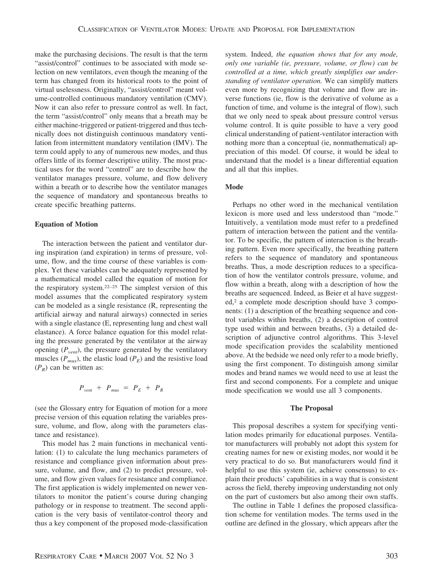make the purchasing decisions. The result is that the term "assist/control" continues to be associated with mode selection on new ventilators, even though the meaning of the term has changed from its historical roots to the point of virtual uselessness. Originally, "assist/control" meant volume-controlled continuous mandatory ventilation (CMV). Now it can also refer to pressure control as well. In fact, the term "assist/control" only means that a breath may be either machine-triggered or patient-triggered and thus technically does not distinguish continuous mandatory ventilation from intermittent mandatory ventilation (IMV). The term could apply to any of numerous new modes, and thus offers little of its former descriptive utility. The most practical uses for the word "control" are to describe how the ventilator manages pressure, volume, and flow delivery within a breath or to describe how the ventilator manages the sequence of mandatory and spontaneous breaths to create specific breathing patterns.

#### **Equation of Motion**

The interaction between the patient and ventilator during inspiration (and expiration) in terms of pressure, volume, flow, and the time course of these variables is complex. Yet these variables can be adequately represented by a mathematical model called the equation of motion for the respiratory system.22–25 The simplest version of this model assumes that the complicated respiratory system can be modeled as a single resistance (R, representing the artificial airway and natural airways) connected in series with a single elastance (E, representing lung and chest wall elastance). A force balance equation for this model relating the pressure generated by the ventilator at the airway opening  $(P_{vent})$ , the pressure generated by the ventilatory muscles  $(P_{mus})$ , the elastic load  $(P_E)$  and the resistive load  $(P_R)$  can be written as:

$$
P_{vent} + P_{mus} = P_E + P_R
$$

(see the Glossary entry for Equation of motion for a more precise version of this equation relating the variables pressure, volume, and flow, along with the parameters elastance and resistance).

This model has 2 main functions in mechanical ventilation: (1) to calculate the lung mechanics parameters of resistance and compliance given information about pressure, volume, and flow, and (2) to predict pressure, volume, and flow given values for resistance and compliance. The first application is widely implemented on newer ventilators to monitor the patient's course during changing pathology or in response to treatment. The second application is the very basis of ventilator-control theory and thus a key component of the proposed mode-classification system. Indeed, *the equation shows that for any mode, only one variable (ie, pressure, volume, or flow) can be controlled at a time, which greatly simplifies our understanding of ventilator operation.* We can simplify matters even more by recognizing that volume and flow are inverse functions (ie, flow is the derivative of volume as a function of time, and volume is the integral of flow), such that we only need to speak about pressure control versus volume control. It is quite possible to have a very good clinical understanding of patient-ventilator interaction with nothing more than a conceptual (ie, nonmathematical) appreciation of this model. Of course, it would be ideal to understand that the model is a linear differential equation and all that this implies.

## **Mode**

Perhaps no other word in the mechanical ventilation lexicon is more used and less understood than "mode." Intuitively, a ventilation mode must refer to a predefined pattern of interaction between the patient and the ventilator. To be specific, the pattern of interaction is the breathing pattern. Even more specifically, the breathing pattern refers to the sequence of mandatory and spontaneous breaths. Thus, a mode description reduces to a specification of how the ventilator controls pressure, volume, and flow within a breath, along with a description of how the breaths are sequenced. Indeed, as Beier et al have suggested,<sup>2</sup> a complete mode description should have 3 components: (1) a description of the breathing sequence and control variables within breaths, (2) a description of control type used within and between breaths, (3) a detailed description of adjunctive control algorithms. This 3-level mode specification provides the scalability mentioned above. At the bedside we need only refer to a mode briefly, using the first component. To distinguish among similar modes and brand names we would need to use at least the first and second components. For a complete and unique mode specification we would use all 3 components.

#### **The Proposal**

This proposal describes a system for specifying ventilation modes primarily for educational purposes. Ventilator manufacturers will probably not adopt this system for creating names for new or existing modes, nor would it be very practical to do so. But manufacturers would find it helpful to use this system (ie, achieve consensus) to explain their products' capabilities in a way that is consistent across the field, thereby improving understanding not only on the part of customers but also among their own staffs.

The outline in Table 1 defines the proposed classification scheme for ventilation modes. The terms used in the outline are defined in the glossary, which appears after the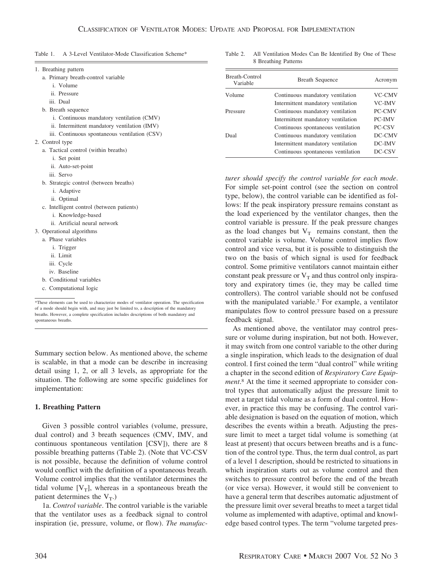| Table 1.<br>A 3-Level Ventilator-Mode Classification Scheme* |  |
|--------------------------------------------------------------|--|
|--------------------------------------------------------------|--|

| 1. Breathing pattern<br>a. Primary breath-control variable<br><i>i</i> . Volume           | Breath-Control<br>Variable | <b>Breath Sequence</b>                                                                                                                                                                                                                                                                                                                                                               | Acronym                        |  |  |  |
|-------------------------------------------------------------------------------------------|----------------------------|--------------------------------------------------------------------------------------------------------------------------------------------------------------------------------------------------------------------------------------------------------------------------------------------------------------------------------------------------------------------------------------|--------------------------------|--|--|--|
| ii. Pressure<br>iii. Dual                                                                 | Volume                     | Continuous mandatory ventilation<br>Intermittent mandatory ventilation                                                                                                                                                                                                                                                                                                               | VC-CMV<br>VC-IMV               |  |  |  |
| b. Breath sequence                                                                        | Pressure                   | Continuous mandatory ventilation                                                                                                                                                                                                                                                                                                                                                     | PC-CMV                         |  |  |  |
| i. Continuous mandatory ventilation (CMV)<br>ii. Intermittent mandatory ventilation (IMV) |                            | Intermittent mandatory ventilation<br>Continuous spontaneous ventilation                                                                                                                                                                                                                                                                                                             | <b>PC-IMV</b><br><b>PC-CSV</b> |  |  |  |
| iii. Continuous spontaneous ventilation (CSV)                                             | Dual                       | Continuous mandatory ventilation                                                                                                                                                                                                                                                                                                                                                     | DC-CMV                         |  |  |  |
| 2. Control type<br>a. Tactical control (within breaths)                                   |                            | Intermittent mandatory ventilation                                                                                                                                                                                                                                                                                                                                                   | DC-IMV                         |  |  |  |
| <i>i</i> . Set point                                                                      |                            | Continuous spontaneous ventilation                                                                                                                                                                                                                                                                                                                                                   | DC-CSV                         |  |  |  |
| ii. Auto-set-point                                                                        |                            |                                                                                                                                                                                                                                                                                                                                                                                      |                                |  |  |  |
| iii. Servo                                                                                |                            | $\overline{10}$ $\overline{1}$ $\overline{1}$ $\overline{1}$ $\overline{1}$ $\overline{1}$ $\overline{1}$ $\overline{1}$ $\overline{1}$ $\overline{1}$ $\overline{1}$ $\overline{1}$ $\overline{1}$ $\overline{1}$ $\overline{1}$ $\overline{1}$ $\overline{1}$ $\overline{1}$ $\overline{1}$ $\overline{1}$ $\overline{1}$ $\overline{1}$ $\overline{1}$ $\overline{1}$ $\overline$ |                                |  |  |  |

*turer should specify the control variable for each mode*. For simple set-point control (see the section on control type, below), the control variable can be identified as follows: If the peak inspiratory pressure remains constant as the load experienced by the ventilator changes, then the control variable is pressure. If the peak pressure changes as the load changes but  $V_T$  remains constant, then the control variable is volume. Volume control implies flow control and vice versa, but it is possible to distinguish the two on the basis of which signal is used for feedback control. Some primitive ventilators cannot maintain either constant peak pressure or  $V_T$  and thus control only inspiratory and expiratory times (ie, they may be called time controllers). The control variable should not be confused with the manipulated variable.7 For example, a ventilator manipulates flow to control pressure based on a pressure feedback signal.

Table 2. All Ventilation Modes Can Be Identified By One of These

8 Breathing Patterns

As mentioned above, the ventilator may control pressure or volume during inspiration, but not both. However, it may switch from one control variable to the other during a single inspiration, which leads to the designation of dual control. I first coined the term "dual control" while writing a chapter in the second edition of *Respiratory Care Equipment*. <sup>8</sup> At the time it seemed appropriate to consider control types that automatically adjust the pressure limit to meet a target tidal volume as a form of dual control. However, in practice this may be confusing. The control variable designation is based on the equation of motion, which describes the events within a breath. Adjusting the pressure limit to meet a target tidal volume is something (at least at present) that occurs between breaths and is a function of the control type. Thus, the term dual control, as part of a level 1 description, should be restricted to situations in which inspiration starts out as volume control and then switches to pressure control before the end of the breath (or vice versa). However, it would still be convenient to have a general term that describes automatic adjustment of the pressure limit over several breaths to meet a target tidal volume as implemented with adaptive, optimal and knowledge based control types. The term "volume targeted pres-

b. Conditional variables c. Computational logic \*These elements can be used to characterize modes of ventilator operation. The specification of a mode should begin with, and may just be limited to, a description of the mandatory breaths. However, a complete specification includes descriptions of both mandatory and spontaneous breaths.

b. Strategic control (between breaths)

c. Intelligent control (between patients)

i. Knowledge-based ii. Artificial neural network

i. Adaptive ii. Optimal

3. Operational algorithms a. Phase variables i. Trigger ii. Limit iii. Cycle iv. Baseline

Summary section below. As mentioned above, the scheme is scalable, in that a mode can be describe in increasing detail using 1, 2, or all 3 levels, as appropriate for the situation. The following are some specific guidelines for implementation:

#### **1. Breathing Pattern**

Given 3 possible control variables (volume, pressure, dual control) and 3 breath sequences (CMV, IMV, and continuous spontaneous ventilation [CSV]), there are 8 possible breathing patterns (Table 2). (Note that VC-CSV is not possible, because the definition of volume control would conflict with the definition of a spontaneous breath. Volume control implies that the ventilator determines the tidal volume  $[V_T]$ , whereas in a spontaneous breath the patient determines the  $V_T$ .)

1a. *Control variable*. The control variable is the variable that the ventilator uses as a feedback signal to control inspiration (ie, pressure, volume, or flow). *The manufac-*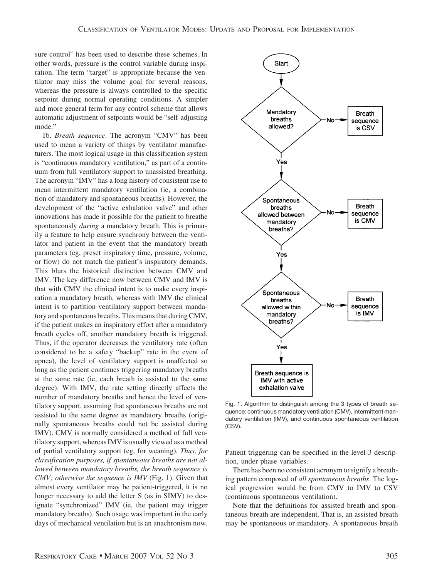sure control" has been used to describe these schemes. In other words, pressure is the control variable during inspiration. The term "target" is appropriate because the ventilator may miss the volume goal for several reasons, whereas the pressure is always controlled to the specific setpoint during normal operating conditions. A simpler and more general term for any control scheme that allows automatic adjustment of setpoints would be "self-adjusting mode."

1b. *Breath sequence*. The acronym "CMV" has been used to mean a variety of things by ventilator manufacturers. The most logical usage in this classification system is "continuous mandatory ventilation," as part of a continuum from full ventilatory support to unassisted breathing. The acronym "IMV" has a long history of consistent use to mean intermittent mandatory ventilation (ie, a combination of mandatory and spontaneous breaths). However, the development of the "active exhalation valve" and other innovations has made it possible for the patient to breathe spontaneously *during* a mandatory breath. This is primarily a feature to help ensure synchrony between the ventilator and patient in the event that the mandatory breath parameters (eg, preset inspiratory time, pressure, volume, or flow) do not match the patient's inspiratory demands. This blurs the historical distinction between CMV and IMV. The key difference now between CMV and IMV is that with CMV the clinical intent is to make every inspiration a mandatory breath, whereas with IMV the clinical intent is to partition ventilatory support between mandatory and spontaneous breaths. This means that during CMV, if the patient makes an inspiratory effort after a mandatory breath cycles off, another mandatory breath is triggered. Thus, if the operator decreases the ventilatory rate (often considered to be a safety "backup" rate in the event of apnea), the level of ventilatory support is unaffected so long as the patient continues triggering mandatory breaths at the same rate (ie, each breath is assisted to the same degree). With IMV, the rate setting directly affects the number of mandatory breaths and hence the level of ventilatory support, assuming that spontaneous breaths are not assisted to the same degree as mandatory breaths (originally spontaneous breaths could not be assisted during IMV). CMV is normally considered a method of full ventilatory support, whereas IMV is usually viewed as a method of partial ventilatory support (eg, for weaning). *Thus, for classification purposes, if spontaneous breaths are not allowed between mandatory breaths, the breath sequence is CMV; otherwise the sequence is IMV* (Fig. 1). Given that almost every ventilator may be patient-triggered, it is no longer necessary to add the letter S (as in SIMV) to designate "synchronized" IMV (ie, the patient may trigger mandatory breaths). Such usage was important in the early days of mechanical ventilation but is an anachronism now.





Fig. 1. Algorithm to distinguish among the 3 types of breath sequence: continuous mandatory ventilation (CMV), intermittent mandatory ventilation (IMV), and continuous spontaneous ventilation (CSV).

Patient triggering can be specified in the level-3 description, under phase variables.

There has been no consistent acronym to signify a breathing pattern composed of *all spontaneous breaths*. The logical progression would be from CMV to IMV to CSV (continuous spontaneous ventilation).

Note that the definitions for assisted breath and spontaneous breath are independent. That is, an assisted breath may be spontaneous or mandatory. A spontaneous breath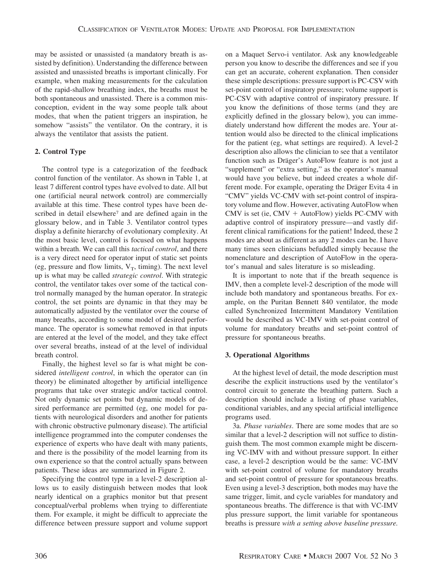may be assisted or unassisted (a mandatory breath is assisted by definition). Understanding the difference between assisted and unassisted breaths is important clinically. For example, when making measurements for the calculation of the rapid-shallow breathing index, the breaths must be both spontaneous and unassisted. There is a common misconception, evident in the way some people talk about modes, that when the patient triggers an inspiration, he somehow "assists" the ventilator. On the contrary, it is always the ventilator that assists the patient.

## **2. Control Type**

The control type is a categorization of the feedback control function of the ventilator. As shown in Table 1, at least 7 different control types have evolved to date. All but one (artificial neural network control) are commercially available at this time. These control types have been described in detail elsewhere<sup>7</sup> and are defined again in the glossary below, and in Table 3. Ventilator control types display a definite hierarchy of evolutionary complexity. At the most basic level, control is focused on what happens within a breath. We can call this *tactical control*, and there is a very direct need for operator input of static set points (eg, pressure and flow limits,  $V_T$ , timing). The next level up is what may be called *strategic control*. With strategic control, the ventilator takes over some of the tactical control normally managed by the human operator. In strategic control, the set points are dynamic in that they may be automatically adjusted by the ventilator over the course of many breaths, according to some model of desired performance. The operator is somewhat removed in that inputs are entered at the level of the model, and they take effect over several breaths, instead of at the level of individual breath control.

Finally, the highest level so far is what might be considered *intelligent control*, in which the operator can (in theory) be eliminated altogether by artificial intelligence programs that take over strategic and/or tactical control. Not only dynamic set points but dynamic models of desired performance are permitted (eg, one model for patients with neurological disorders and another for patients with chronic obstructive pulmonary disease). The artificial intelligence programmed into the computer condenses the experience of experts who have dealt with many patients, and there is the possibility of the model learning from its own experience so that the control actually spans between patients. These ideas are summarized in Figure 2.

Specifying the control type in a level-2 description allows us to easily distinguish between modes that look nearly identical on a graphics monitor but that present conceptual/verbal problems when trying to differentiate them. For example, it might be difficult to appreciate the difference between pressure support and volume support on a Maquet Servo-i ventilator. Ask any knowledgeable person you know to describe the differences and see if you can get an accurate, coherent explanation. Then consider these simple descriptions: pressure support is PC-CSV with set-point control of inspiratory pressure; volume support is PC-CSV with adaptive control of inspiratory pressure. If you know the definitions of those terms (and they are explicitly defined in the glossary below), you can immediately understand how different the modes are. Your attention would also be directed to the clinical implications for the patient (eg, what settings are required). A level-2 description also allows the clinician to see that a ventilator function such as Dräger's AutoFlow feature is not just a "supplement" or "extra setting," as the operator's manual would have you believe, but indeed creates a whole different mode. For example, operating the Dräger Evita 4 in "CMV" yields VC-CMV with set-point control of inspiratory volume and flow. However, activating AutoFlow when CMV is set (ie,  $CMV + AutoFlow$ ) yields PC-CMV with adaptive control of inspiratory pressure—and vastly different clinical ramifications for the patient! Indeed, these 2 modes are about as different as any 2 modes can be. I have many times seen clinicians befuddled simply because the nomenclature and description of AutoFlow in the operator's manual and sales literature is so misleading.

It is important to note that if the breath sequence is IMV, then a complete level-2 description of the mode will include both mandatory and spontaneous breaths. For example, on the Puritan Bennett 840 ventilator, the mode called Synchronized Intermittent Mandatory Ventilation would be described as VC-IMV with set-point control of volume for mandatory breaths and set-point control of pressure for spontaneous breaths.

## **3. Operational Algorithms**

At the highest level of detail, the mode description must describe the explicit instructions used by the ventilator's control circuit to generate the breathing pattern. Such a description should include a listing of phase variables, conditional variables, and any special artificial intelligence programs used.

3a. *Phase variables*. There are some modes that are so similar that a level-2 description will not suffice to distinguish them. The most common example might be discerning VC-IMV with and without pressure support. In either case, a level-2 description would be the same: VC-IMV with set-point control of volume for mandatory breaths and set-point control of pressure for spontaneous breaths. Even using a level-3 description, both modes may have the same trigger, limit, and cycle variables for mandatory and spontaneous breaths. The difference is that with VC-IMV plus pressure support, the limit variable for spontaneous breaths is pressure *with a setting above baseline pressure.*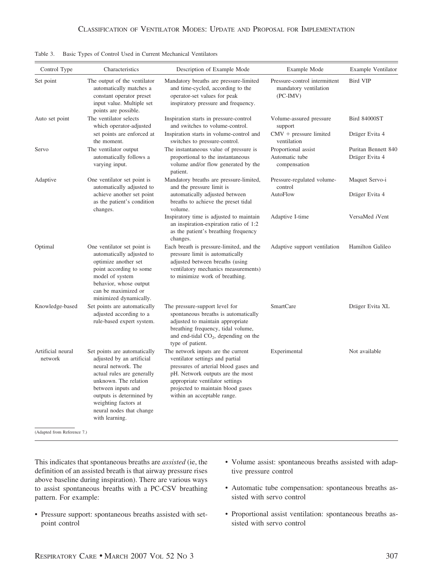| Control Type                 | Characteristics                                                                                                                                                                                                                                                 | Description of Example Mode                                                                                                                                                                                                                               | Example Mode                                                         | Example Ventilator                    |  |
|------------------------------|-----------------------------------------------------------------------------------------------------------------------------------------------------------------------------------------------------------------------------------------------------------------|-----------------------------------------------------------------------------------------------------------------------------------------------------------------------------------------------------------------------------------------------------------|----------------------------------------------------------------------|---------------------------------------|--|
| Set point                    | The output of the ventilator<br>automatically matches a<br>constant operator preset<br>input value. Multiple set<br>points are possible.                                                                                                                        | Mandatory breaths are pressure-limited<br>and time-cycled, according to the<br>operator-set values for peak<br>inspiratory pressure and frequency.                                                                                                        | Pressure-control intermittent<br>mandatory ventilation<br>$(PC-IMV)$ | Bird VIP                              |  |
| Auto set point               | The ventilator selects<br>which operator-adjusted                                                                                                                                                                                                               | Inspiration starts in pressure-control<br>and switches to volume-control.                                                                                                                                                                                 | Volume-assured pressure<br>support                                   | Bird 84000ST                          |  |
|                              | set points are enforced at<br>the moment.                                                                                                                                                                                                                       | Inspiration starts in volume-control and<br>switches to pressure-control.                                                                                                                                                                                 | $CMV$ + pressure limited<br>ventilation                              | Dräger Evita 4                        |  |
| Servo                        | The ventilator output<br>The instantaneous value of pressure is<br>automatically follows a<br>proportional to the instantaneous<br>varying input.<br>volume and/or flow generated by the<br>patient.                                                            |                                                                                                                                                                                                                                                           | Proportional assist<br>Automatic tube<br>compensation                | Puritan Bennett 840<br>Dräger Evita 4 |  |
| Adaptive                     | One ventilator set point is<br>automatically adjusted to                                                                                                                                                                                                        | Mandatory breaths are pressure-limited,<br>and the pressure limit is                                                                                                                                                                                      | Pressure-regulated volume-<br>control                                | Maquet Servo-i                        |  |
|                              | achieve another set point<br>as the patient's condition<br>changes.                                                                                                                                                                                             | automatically adjusted between<br>breaths to achieve the preset tidal<br>volume.                                                                                                                                                                          | AutoFlow                                                             | Dräger Evita 4                        |  |
|                              |                                                                                                                                                                                                                                                                 | Inspiratory time is adjusted to maintain<br>an inspiration-expiration ratio of 1:2<br>as the patient's breathing frequency<br>changes.                                                                                                                    | Adaptive I-time                                                      | VersaMed iVent                        |  |
| Optimal                      | One ventilator set point is<br>automatically adjusted to<br>optimize another set<br>point according to some<br>model of system<br>behavior, whose output<br>can be maximized or<br>minimized dynamically.                                                       | Each breath is pressure-limited, and the<br>pressure limit is automatically<br>adjusted between breaths (using<br>ventilatory mechanics measurements)<br>to minimize work of breathing.                                                                   | Adaptive support ventilation                                         | Hamilton Galileo                      |  |
| Knowledge-based              | Set points are automatically<br>adjusted according to a<br>rule-based expert system.                                                                                                                                                                            | The pressure-support level for<br>spontaneous breaths is automatically<br>adjusted to maintain appropriate<br>breathing frequency, tidal volume,<br>and end-tidal $CO2$ , depending on the<br>type of patient.                                            | SmartCare                                                            | Dräger Evita XL                       |  |
| Artificial neural<br>network | Set points are automatically<br>adjusted by an artificial<br>neural network. The<br>actual rules are generally<br>unknown. The relation<br>between inputs and<br>outputs is determined by<br>weighting factors at<br>neural nodes that change<br>with learning. | The network inputs are the current<br>ventilator settings and partial<br>pressures of arterial blood gases and<br>pH. Network outputs are the most<br>appropriate ventilator settings<br>projected to maintain blood gases<br>within an acceptable range. | Experimental                                                         | Not available                         |  |

Table 3. Basic Types of Control Used in Current Mechanical Ventilators

This indicates that spontaneous breaths are *assisted* (ie, the definition of an assisted breath is that airway pressure rises above baseline during inspiration). There are various ways to assist spontaneous breaths with a PC-CSV breathing pattern. For example:

- Pressure support: spontaneous breaths assisted with setpoint control
- Volume assist: spontaneous breaths assisted with adaptive pressure control
- Automatic tube compensation: spontaneous breaths assisted with servo control
- Proportional assist ventilation: spontaneous breaths assisted with servo control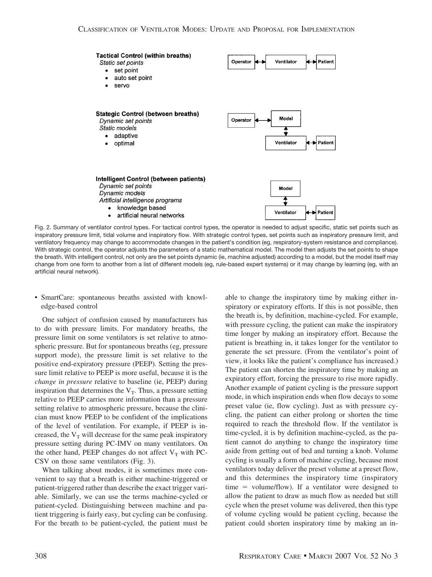

Fig. 2. Summary of ventilator control types. For tactical control types, the operator is needed to adjust specific, static set points such as inspiratory pressure limit, tidal volume and inspiratory flow. With strategic control types, set points such as inspiratory pressure limit, and ventilatory frequency may change to accommodate changes in the patient's condition (eg, respiratory-system resistance and compliance). With strategic control, the operator adjusts the parameters of a static mathematical model. The model then adjusts the set points to shape the breath. With intelligent control, not only are the set points dynamic (ie, machine adjusted) according to a model, but the model itself may change from one form to another from a list of different models (eg, rule-based expert systems) or it may change by learning (eg, with an artificial neural network).

• SmartCare: spontaneous breaths assisted with knowledge-based control

One subject of confusion caused by manufacturers has to do with pressure limits. For mandatory breaths, the pressure limit on some ventilators is set relative to atmospheric pressure. But for spontaneous breaths (eg, pressure support mode), the pressure limit is set relative to the positive end-expiratory pressure (PEEP). Setting the pressure limit relative to PEEP is more useful, because it is the *change in pressure* relative to baseline (ie, PEEP) during inspiration that determines the  $V_T$ . Thus, a pressure setting relative to PEEP carries more information than a pressure setting relative to atmospheric pressure, because the clinician must know PEEP to be confident of the implications of the level of ventilation. For example, if PEEP is increased, the  $V_T$  will decrease for the same peak inspiratory pressure setting during PC-IMV on many ventilators. On the other hand, PEEP changes do not affect  $V_T$  with PC-CSV on those same ventilators (Fig. 3).

When talking about modes, it is sometimes more convenient to say that a breath is either machine-triggered or patient-triggered rather than describe the exact trigger variable. Similarly, we can use the terms machine-cycled or patient-cycled. Distinguishing between machine and patient triggering is fairly easy, but cycling can be confusing. For the breath to be patient-cycled, the patient must be

able to change the inspiratory time by making either inspiratory or expiratory efforts. If this is not possible, then the breath is, by definition, machine-cycled. For example, with pressure cycling, the patient can make the inspiratory time longer by making an inspiratory effort. Because the patient is breathing in, it takes longer for the ventilator to generate the set pressure. (From the ventilator's point of view, it looks like the patient's compliance has increased.) The patient can shorten the inspiratory time by making an expiratory effort, forcing the pressure to rise more rapidly. Another example of patient cycling is the pressure support mode, in which inspiration ends when flow decays to some preset value (ie, flow cycling). Just as with pressure cycling, the patient can either prolong or shorten the time required to reach the threshold flow. If the ventilator is time-cycled, it is by definition machine-cycled, as the patient cannot do anything to change the inspiratory time aside from getting out of bed and turning a knob. Volume cycling is usually a form of machine cycling, because most ventilators today deliver the preset volume at a preset flow, and this determines the inspiratory time (inspiratory  $time = volume/flow$ . If a ventilator were designed to allow the patient to draw as much flow as needed but still cycle when the preset volume was delivered, then this type of volume cycling would be patient cycling, because the patient could shorten inspiratory time by making an in-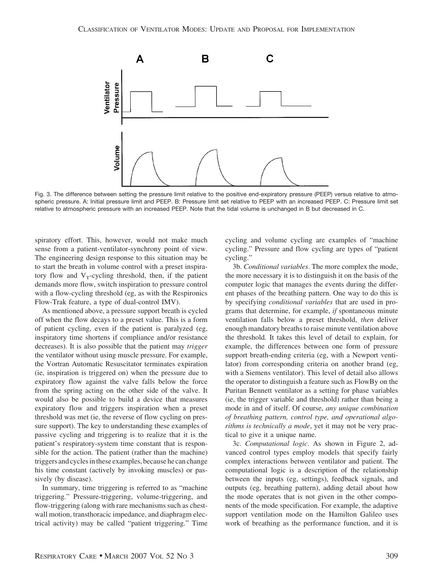

Fig. 3. The difference between setting the pressure limit relative to the positive end-expiratory pressure (PEEP) versus relative to atmospheric pressure. A: Initial pressure limit and PEEP. B: Pressure limit set relative to PEEP with an increased PEEP. C: Pressure limit set relative to atmospheric pressure with an increased PEEP. Note that the tidal volume is unchanged in B but decreased in C.

spiratory effort. This, however, would not make much sense from a patient-ventilator-synchrony point of view. The engineering design response to this situation may be to start the breath in volume control with a preset inspiratory flow and  $V_T$ -cycling threshold, then, if the patient demands more flow, switch inspiration to pressure control with a flow-cycling threshold (eg, as with the Respironics Flow-Trak feature, a type of dual-control IMV).

As mentioned above, a pressure support breath is cycled off when the flow decays to a preset value. This is a form of patient cycling, even if the patient is paralyzed (eg, inspiratory time shortens if compliance and/or resistance decreases). It is also possible that the patient may *trigger* the ventilator without using muscle pressure. For example, the Vortran Automatic Resuscitator terminates expiration (ie, inspiration is triggered on) when the pressure due to expiratory flow against the valve falls below the force from the spring acting on the other side of the valve. It would also be possible to build a device that measures expiratory flow and triggers inspiration when a preset threshold was met (ie, the reverse of flow cycling on pressure support). The key to understanding these examples of passive cycling and triggering is to realize that it is the patient's respiratory-system time constant that is responsible for the action. The patient (rather than the machine) triggers and cycles in these examples, because he can change his time constant (actively by invoking muscles) or passively (by disease).

In summary, time triggering is referred to as "machine triggering." Pressure-triggering, volume-triggering, and flow-triggering (along with rare mechanisms such as chestwall motion, transthoracic impedance, and diaphragm electrical activity) may be called "patient triggering." Time cycling and volume cycling are examples of "machine cycling." Pressure and flow cycling are types of "patient cycling."

3b. *Conditional variables*. The more complex the mode, the more necessary it is to distinguish it on the basis of the computer logic that manages the events during the different phases of the breathing pattern. One way to do this is by specifying *conditional variables* that are used in programs that determine, for example, *if* spontaneous minute ventilation falls below a preset threshold, *then* deliver enough mandatory breaths to raise minute ventilation above the threshold. It takes this level of detail to explain, for example, the differences between one form of pressure support breath-ending criteria (eg, with a Newport ventilator) from corresponding criteria on another brand (eg, with a Siemens ventilator). This level of detail also allows the operator to distinguish a feature such as FlowBy on the Puritan Bennett ventilator as a setting for phase variables (ie, the trigger variable and threshold) rather than being a mode in and of itself. Of course, *any unique combination of breathing pattern, control type, and operational algorithms is technically a mode*, yet it may not be very practical to give it a unique name.

3c. *Computational logic*. As shown in Figure 2, advanced control types employ models that specify fairly complex interactions between ventilator and patient. The computational logic is a description of the relationship between the inputs (eg, settings), feedback signals, and outputs (eg, breathing pattern), adding detail about how the mode operates that is not given in the other components of the mode specification. For example, the adaptive support ventilation mode on the Hamilton Galileo uses work of breathing as the performance function, and it is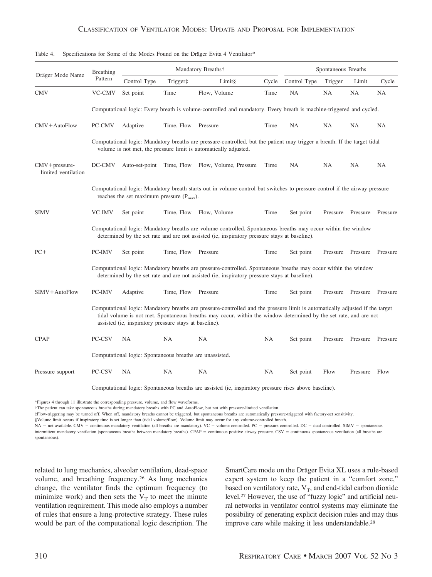| Dräger Mode Name                        | Breathing<br>Pattern                                                                                                                                                                                                                                                                                         |                                                          | Mandatory Breaths† |                                                                                                                                                                                                                  |       | Spontaneous Breaths |          |          |                   |
|-----------------------------------------|--------------------------------------------------------------------------------------------------------------------------------------------------------------------------------------------------------------------------------------------------------------------------------------------------------------|----------------------------------------------------------|--------------------|------------------------------------------------------------------------------------------------------------------------------------------------------------------------------------------------------------------|-------|---------------------|----------|----------|-------------------|
|                                         |                                                                                                                                                                                                                                                                                                              | Control Type                                             | Trigger‡           | Limit§                                                                                                                                                                                                           | Cycle | Control Type        | Trigger  | Limit    | Cycle             |
| <b>CMV</b>                              | VC-CMV                                                                                                                                                                                                                                                                                                       | Set point                                                | Time               | Flow, Volume                                                                                                                                                                                                     | Time  | <b>NA</b>           | NA       | NA       | NA                |
|                                         |                                                                                                                                                                                                                                                                                                              |                                                          |                    | Computational logic: Every breath is volume-controlled and mandatory. Every breath is machine-triggered and cycled.                                                                                              |       |                     |          |          |                   |
| $CMV + AutoFlow$                        | PC-CMV                                                                                                                                                                                                                                                                                                       | Adaptive                                                 | Time, Flow         | Pressure                                                                                                                                                                                                         | Time  | NA                  | NA       | NA       | NA                |
|                                         |                                                                                                                                                                                                                                                                                                              |                                                          |                    | Computational logic: Mandatory breaths are pressure-controlled, but the patient may trigger a breath. If the target tidal<br>volume is not met, the pressure limit is automatically adjusted.                    |       |                     |          |          |                   |
| $CMV + pressure$<br>limited ventilation | DC-CMV                                                                                                                                                                                                                                                                                                       | Auto-set-point                                           |                    | Time, Flow Flow, Volume, Pressure                                                                                                                                                                                | Time  | NA                  | NA       | NA       | <b>NA</b>         |
|                                         |                                                                                                                                                                                                                                                                                                              | reaches the set maximum pressure $(P_{max})$ .           |                    | Computational logic: Mandatory breath starts out in volume-control but switches to pressure-control if the airway pressure                                                                                       |       |                     |          |          |                   |
| <b>SIMV</b>                             | VC-IMV                                                                                                                                                                                                                                                                                                       | Set point                                                | Time, Flow         | Flow, Volume                                                                                                                                                                                                     | Time  | Set point           | Pressure | Pressure | Pressure          |
|                                         |                                                                                                                                                                                                                                                                                                              |                                                          |                    | Computational logic: Mandatory breaths are volume-controlled. Spontaneous breaths may occur within the window<br>determined by the set rate and are not assisted (ie, inspiratory pressure stays at baseline).   |       |                     |          |          |                   |
| $PC+$                                   | PC-IMV                                                                                                                                                                                                                                                                                                       | Set point                                                | Time, Flow         | Pressure                                                                                                                                                                                                         | Time  | Set point           | Pressure |          | Pressure Pressure |
|                                         |                                                                                                                                                                                                                                                                                                              |                                                          |                    | Computational logic: Mandatory breaths are pressure-controlled. Spontaneous breaths may occur within the window<br>determined by the set rate and are not assisted (ie, inspiratory pressure stays at baseline). |       |                     |          |          |                   |
| SIMV+AutoFlow                           | PC-IMV                                                                                                                                                                                                                                                                                                       | Adaptive                                                 | Time, Flow         | Pressure                                                                                                                                                                                                         | Time  | Set point           | Pressure |          | Pressure Pressure |
|                                         | Computational logic: Mandatory breaths are pressure-controlled and the pressure limit is automatically adjusted if the target<br>tidal volume is not met. Spontaneous breaths may occur, within the window determined by the set rate, and are not<br>assisted (ie, inspiratory pressure stays at baseline). |                                                          |                    |                                                                                                                                                                                                                  |       |                     |          |          |                   |
| <b>CPAP</b>                             | PC-CSV                                                                                                                                                                                                                                                                                                       | NA                                                       | NA                 | NA                                                                                                                                                                                                               | NA    | Set point           | Pressure | Pressure | Pressure          |
|                                         |                                                                                                                                                                                                                                                                                                              | Computational logic: Spontaneous breaths are unassisted. |                    |                                                                                                                                                                                                                  |       |                     |          |          |                   |
| Pressure support                        | PC-CSV                                                                                                                                                                                                                                                                                                       | <b>NA</b>                                                | NA                 | NA                                                                                                                                                                                                               | NA    | Set point           | Flow     | Pressure | Flow              |
|                                         | Computational logic: Spontaneous breaths are assisted (ie, inspiratory pressure rises above baseline).                                                                                                                                                                                                       |                                                          |                    |                                                                                                                                                                                                                  |       |                     |          |          |                   |

Table 4. Specifications for Some of the Modes Found on the Dräger Evita 4 Ventilator\*

\*Figures 4 through 11 illustrate the corresponding pressure, volume, and flow waveforms.

†The patient can take spontaneous breaths during mandatory breaths with PC and AutoFlow, but not with pressure-limited ventilation.

‡Flow-triggering may be turned off. When off, mandatory breaths cannot be triggered, but spontaneous breaths are automatically pressure-triggered with factory-set sensitivity.

§Volume limit occurs if inspiratory time is set longer than (tidal volume/flow). Volume limit may occur for any volume-controlled breath.

NA = not available. CMV = continuous mandatory ventilation (all breaths are mandatory). VC = volume-controlled. PC = pressure-controlled. DC = dual-controlled. SIMV = spontaneous intermittent mandatory ventilation (spontaneous breaths between mandatory breaths). CPAP = continuous positive airway pressure. CSV = continuous spontaneous ventilation (all breaths are spontaneous).

related to lung mechanics, alveolar ventilation, dead-space volume, and breathing frequency.26 As lung mechanics change, the ventilator finds the optimum frequency (to minimize work) and then sets the  $V_T$  to meet the minute ventilation requirement. This mode also employs a number of rules that ensure a lung-protective strategy. These rules would be part of the computational logic description. The SmartCare mode on the Dräger Evita XL uses a rule-based expert system to keep the patient in a "comfort zone," based on ventilatory rate,  $V_T$ , and end-tidal carbon dioxide level.27 However, the use of "fuzzy logic" and artificial neural networks in ventilator control systems may eliminate the possibility of generating explicit decision rules and may thus improve care while making it less understandable.28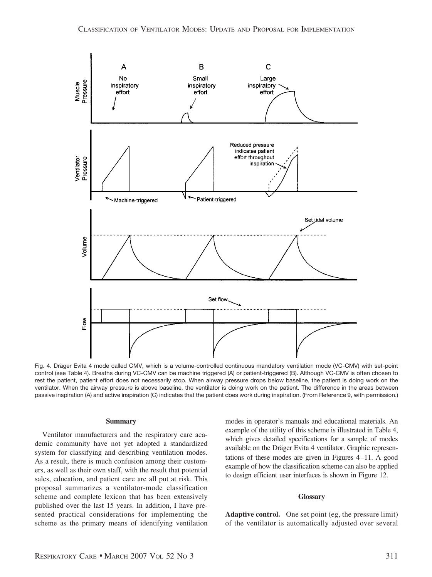

Fig. 4. Dräger Evita 4 mode called CMV, which is a volume-controlled continuous mandatory ventilation mode (VC-CMV) with set-point control (see Table 4). Breaths during VC-CMV can be machine triggered (A) or patient-triggered (B). Although VC-CMV is often chosen to rest the patient, patient effort does not necessarily stop. When airway pressure drops below baseline, the patient is doing work on the ventilator. When the airway pressure is above baseline, the ventilator is doing work on the patient. The difference in the areas between passive inspiration (A) and active inspiration (C) indicates that the patient does work during inspiration. (From Reference 9, with permission.)

### **Summary**

Ventilator manufacturers and the respiratory care academic community have not yet adopted a standardized system for classifying and describing ventilation modes. As a result, there is much confusion among their customers, as well as their own staff, with the result that potential sales, education, and patient care are all put at risk. This proposal summarizes a ventilator-mode classification scheme and complete lexicon that has been extensively published over the last 15 years. In addition, I have presented practical considerations for implementing the scheme as the primary means of identifying ventilation modes in operator's manuals and educational materials. An example of the utility of this scheme is illustrated in Table 4, which gives detailed specifications for a sample of modes available on the Dräger Evita 4 ventilator. Graphic representations of these modes are given in Figures 4 –11. A good example of how the classification scheme can also be applied to design efficient user interfaces is shown in Figure 12.

### **Glossary**

**Adaptive control.** One set point (eg, the pressure limit) of the ventilator is automatically adjusted over several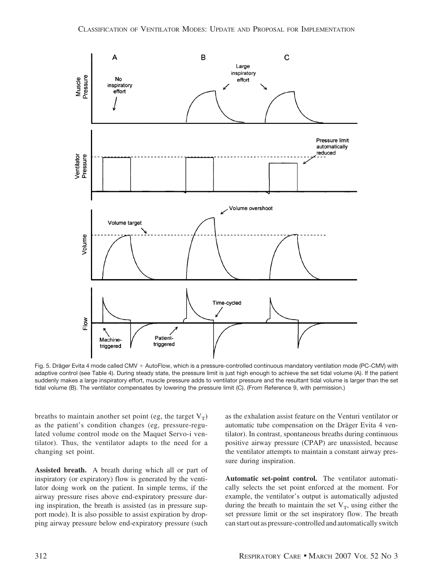

Fig. 5. Dräger Evita 4 mode called CMV + AutoFlow, which is a pressure-controlled continuous mandatory ventilation mode (PC-CMV) with adaptive control (see Table 4). During steady state, the pressure limit is just high enough to achieve the set tidal volume (A). If the patient suddenly makes a large inspiratory effort, muscle pressure adds to ventilator pressure and the resultant tidal volume is larger than the set tidal volume (B). The ventilator compensates by lowering the pressure limit (C). (From Reference 9, with permission.)

breaths to maintain another set point (eg, the target  $V_T$ ) as the patient's condition changes (eg, pressure-regulated volume control mode on the Maquet Servo-i ventilator). Thus, the ventilator adapts to the need for a changing set point.

**Assisted breath.** A breath during which all or part of inspiratory (or expiratory) flow is generated by the ventilator doing work on the patient. In simple terms, if the airway pressure rises above end-expiratory pressure during inspiration, the breath is assisted (as in pressure support mode). It is also possible to assist expiration by dropping airway pressure below end-expiratory pressure (such as the exhalation assist feature on the Venturi ventilator or automatic tube compensation on the Dräger Evita 4 ventilator). In contrast, spontaneous breaths during continuous positive airway pressure (CPAP) are unassisted, because the ventilator attempts to maintain a constant airway pressure during inspiration.

**Automatic set-point control.** The ventilator automatically selects the set point enforced at the moment. For example, the ventilator's output is automatically adjusted during the breath to maintain the set  $V_T$ , using either the set pressure limit or the set inspiratory flow. The breath can start out as pressure-controlled and automatically switch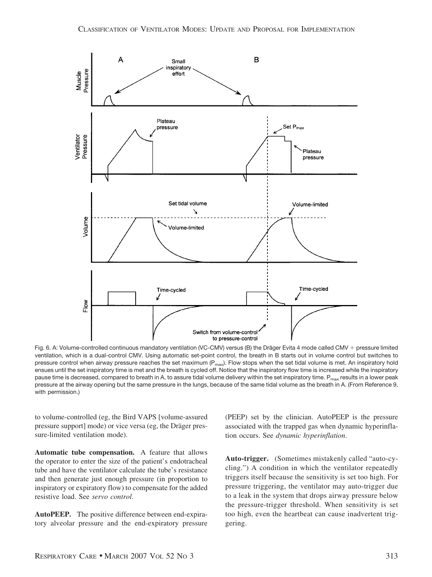

Fig. 6. A: Volume-controlled continuous mandatory ventilation (VC-CMV) versus (B) the Dräger Evita 4 mode called CMV + pressure limited ventilation, which is a dual-control CMV. Using automatic set-point control, the breath in B starts out in volume control but switches to pressure control when airway pressure reaches the set maximum ( $P_{\text{max}}$ ). Flow stops when the set tidal volume is met. An inspiratory hold ensues until the set inspiratory time is met and the breath is cycled off. Notice that the inspiratory flow time is increased while the inspiratory pause time is decreased, compared to breath in A, to assure tidal volume delivery within the set inspiratory time. P<sub>max</sub> results in a lower peak pressure at the airway opening but the same pressure in the lungs, because of the same tidal volume as the breath in A. (From Reference 9, with permission.)

to volume-controlled (eg, the Bird VAPS [volume-assured pressure support] mode) or vice versa (eg, the Dräger pressure-limited ventilation mode).

**Automatic tube compensation.** A feature that allows the operator to enter the size of the patient's endotracheal tube and have the ventilator calculate the tube's resistance and then generate just enough pressure (in proportion to inspiratory or expiratory flow) to compensate for the added resistive load. See *servo control*.

**AutoPEEP.** The positive difference between end-expiratory alveolar pressure and the end-expiratory pressure

(PEEP) set by the clinician. AutoPEEP is the pressure associated with the trapped gas when dynamic hyperinflation occurs. See *dynamic hyperinflation*.

**Auto-trigger.** (Sometimes mistakenly called "auto-cycling.") A condition in which the ventilator repeatedly triggers itself because the sensitivity is set too high. For pressure triggering, the ventilator may auto-trigger due to a leak in the system that drops airway pressure below the pressure-trigger threshold. When sensitivity is set too high, even the heartbeat can cause inadvertent triggering.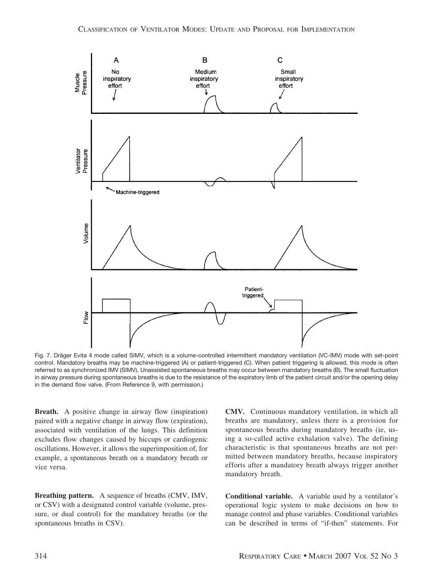

Fig. 7. Dräger Evita 4 mode called SIMV, which is a volume-controlled intermittent mandatory ventilation (VC-IMV) mode with set-point control. Mandatory breaths may be machine-triggered (A) or patient-triggered (C). When patient triggering is allowed, this mode is often referred to as synchronized IMV (SIMV). Unassisted spontaneous breaths may occur between mandatory breaths (B). The small fluctuation in airway pressure during spontaneous breaths is due to the resistance of the expiratory limb of the patient circuit and/or the opening delay in the demand flow valve. (From Reference 9, with permission.)

**Breath.** A positive change in airway flow (inspiration) paired with a negative change in airway flow (expiration), associated with ventilation of the lungs. This definition excludes flow changes caused by hiccups or cardiogenic oscillations. However, it allows the superimposition of, for example, a spontaneous breath on a mandatory breath or vice versa.

**Breathing pattern.** A sequence of breaths (CMV, IMV, or CSV) with a designated control variable (volume, pressure, or dual control) for the mandatory breaths (or the spontaneous breaths in CSV).

**CMV.** Continuous mandatory ventilation, in which all breaths are mandatory, unless there is a provision for spontaneous breaths during mandatory breaths (ie, using a so-called active exhalation valve). The defining characteristic is that spontaneous breaths are not permitted between mandatory breaths, because inspiratory efforts after a mandatory breath always trigger another mandatory breath.

**Conditional variable.** A variable used by a ventilator's operational logic system to make decisions on how to manage control and phase variables. Conditional variables can be described in terms of "if-then" statements. For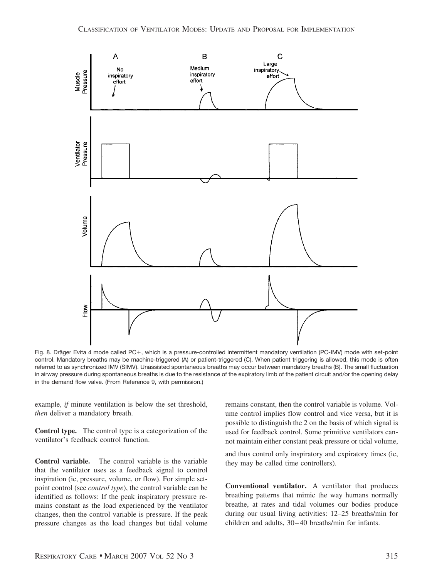

Fig. 8. Dräger Evita 4 mode called PC+, which is a pressure-controlled intermittent mandatory ventilation (PC-IMV) mode with set-point control. Mandatory breaths may be machine-triggered (A) or patient-triggered (C). When patient triggering is allowed, this mode is often referred to as synchronized IMV (SIMV). Unassisted spontaneous breaths may occur between mandatory breaths (B). The small fluctuation in airway pressure during spontaneous breaths is due to the resistance of the expiratory limb of the patient circuit and/or the opening delay in the demand flow valve. (From Reference 9, with permission.)

example, *if* minute ventilation is below the set threshold, *then* deliver a mandatory breath.

**Control type.** The control type is a categorization of the ventilator's feedback control function.

**Control variable.** The control variable is the variable that the ventilator uses as a feedback signal to control inspiration (ie, pressure, volume, or flow). For simple setpoint control (see *control type*), the control variable can be identified as follows: If the peak inspiratory pressure remains constant as the load experienced by the ventilator changes, then the control variable is pressure. If the peak pressure changes as the load changes but tidal volume remains constant, then the control variable is volume. Volume control implies flow control and vice versa, but it is possible to distinguish the 2 on the basis of which signal is used for feedback control. Some primitive ventilators cannot maintain either constant peak pressure or tidal volume,

and thus control only inspiratory and expiratory times (ie, they may be called time controllers).

**Conventional ventilator.** A ventilator that produces breathing patterns that mimic the way humans normally breathe, at rates and tidal volumes our bodies produce during our usual living activities: 12–25 breaths/min for children and adults, 30 – 40 breaths/min for infants.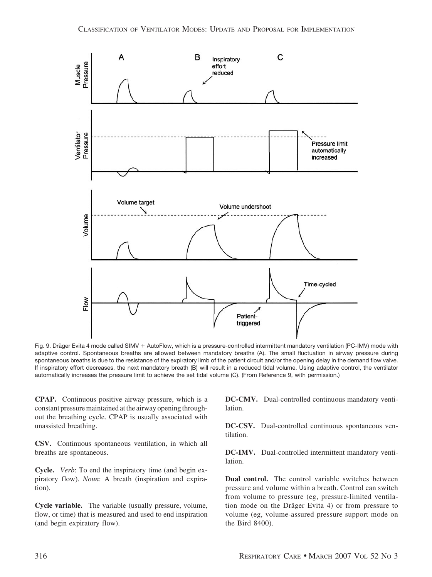

Fig. 9. Dräger Evita 4 mode called SIMV + AutoFlow, which is a pressure-controlled intermittent mandatory ventilation (PC-IMV) mode with adaptive control. Spontaneous breaths are allowed between mandatory breaths (A). The small fluctuation in airway pressure during spontaneous breaths is due to the resistance of the expiratory limb of the patient circuit and/or the opening delay in the demand flow valve. If inspiratory effort decreases, the next mandatory breath (B) will result in a reduced tidal volume. Using adaptive control, the ventilator automatically increases the pressure limit to achieve the set tidal volume (C). (From Reference 9, with permission.)

**CPAP.** Continuous positive airway pressure, which is a constant pressure maintained at the airway opening throughout the breathing cycle. CPAP is usually associated with unassisted breathing.

**CSV.** Continuous spontaneous ventilation, in which all breaths are spontaneous.

**Cycle.** *Verb*: To end the inspiratory time (and begin expiratory flow). *Noun*: A breath (inspiration and expiration).

**Cycle variable.** The variable (usually pressure, volume, flow, or time) that is measured and used to end inspiration (and begin expiratory flow).

**DC-CMV.** Dual-controlled continuous mandatory ventilation.

**DC-CSV.** Dual-controlled continuous spontaneous ventilation.

**DC-IMV.** Dual-controlled intermittent mandatory ventilation.

**Dual control.** The control variable switches between pressure and volume within a breath. Control can switch from volume to pressure (eg, pressure-limited ventilation mode on the Dräger Evita 4) or from pressure to volume (eg, volume-assured pressure support mode on the Bird 8400).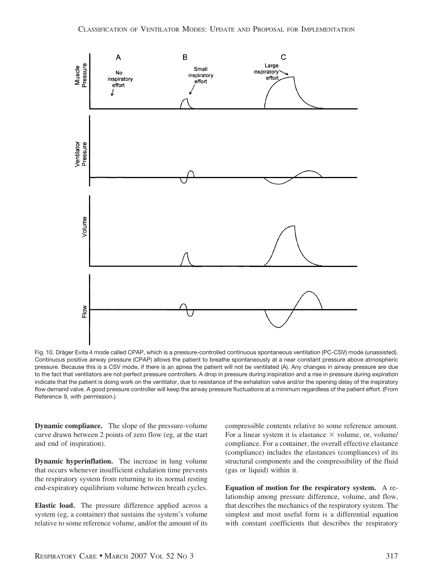

Fig. 10. Dräger Evita 4 mode called CPAP, which is a pressure-controlled continuous spontaneous ventilation (PC-CSV) mode (unassisted). Continuous positive airway pressure (CPAP) allows the patient to breathe spontaneously at a near constant pressure above atmospheric pressure. Because this is a CSV mode, if there is an apnea the patient will not be ventilated (A). Any changes in airway pressure are due to the fact that ventilators are not perfect pressure controllers. A drop in pressure during inspiration and a rise in pressure during expiration indicate that the patient is doing work on the ventilator, due to resistance of the exhalation valve and/or the opening delay of the inspiratory flow demand valve. A good pressure controller will keep the airway pressure fluctuations at a minimum regardless of the patient effort. (From Reference 9, with permission.)

**Dynamic compliance.** The slope of the pressure-volume curve drawn between 2 points of zero flow (eg, at the start and end of inspiration).

**Dynamic hyperinflation.** The increase in lung volume that occurs whenever insufficient exhalation time prevents the respiratory system from returning to its normal resting end-expiratory equilibrium volume between breath cycles.

**Elastic load.** The pressure difference applied across a system (eg, a container) that sustains the system's volume relative to some reference volume, and/or the amount of its compressible contents relative to some reference amount. For a linear system it is elastance  $\times$  volume, or, volume/ compliance. For a container, the overall effective elastance (compliance) includes the elastances (compliances) of its structural components and the compressibility of the fluid (gas or liquid) within it.

**Equation of motion for the respiratory system.** A relationship among pressure difference, volume, and flow, that describes the mechanics of the respiratory system. The simplest and most useful form is a differential equation with constant coefficients that describes the respiratory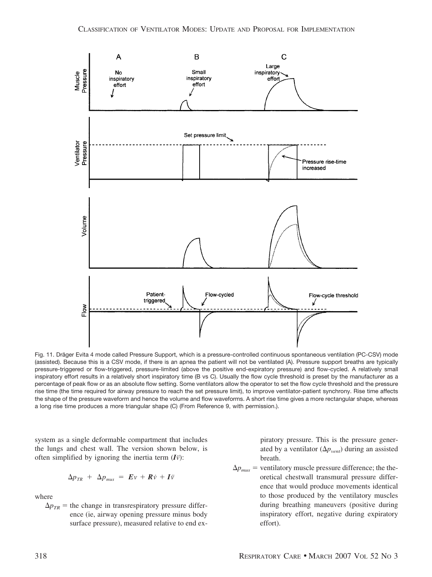![](_page_17_Figure_1.jpeg)

Fig. 11. Dräger Evita 4 mode called Pressure Support, which is a pressure-controlled continuous spontaneous ventilation (PC-CSV) mode (assisted). Because this is a CSV mode, if there is an apnea the patient will not be ventilated (A). Pressure support breaths are typically pressure-triggered or flow-triggered, pressure-limited (above the positive end-expiratory pressure) and flow-cycled. A relatively small inspiratory effort results in a relatively short inspiratory time (B vs C). Usually the flow cycle threshold is preset by the manufacturer as a percentage of peak flow or as an absolute flow setting. Some ventilators allow the operator to set the flow cycle threshold and the pressure rise time (the time required for airway pressure to reach the set pressure limit), to improve ventilator-patient synchrony. Rise time affects the shape of the pressure waveform and hence the volume and flow waveforms. A short rise time gives a more rectangular shape, whereas a long rise time produces a more triangular shape (C) (From Reference 9, with permission.).

system as a single deformable compartment that includes the lungs and chest wall. The version shown below, is often simplified by ignoring the inertia term  $(I\ddot{v})$ :

$$
\Delta p_{TR} + \Delta p_{mus} = E v + R \dot{v} + I \ddot{v}
$$

where

 $\Delta p_{TR}$  = the change in transrespiratory pressure difference (ie, airway opening pressure minus body surface pressure), measured relative to end ex-

piratory pressure. This is the pressure generated by a ventilator  $(\Delta p_{vent})$  during an assisted breath.

 $\Delta p_{mus}$  = ventilatory muscle pressure difference; the theoretical chestwall transmural pressure difference that would produce movements identical to those produced by the ventilatory muscles during breathing maneuvers (positive during inspiratory effort, negative during expiratory effort).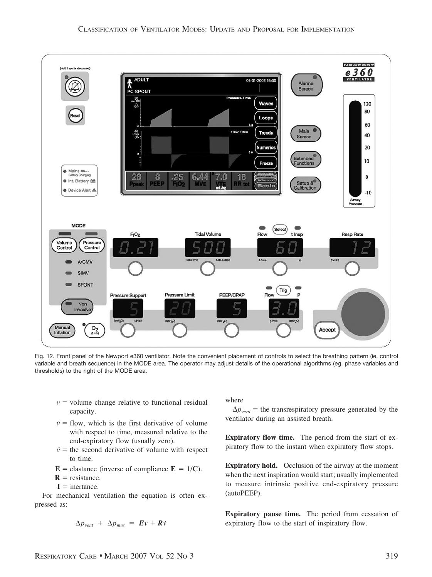![](_page_18_Figure_1.jpeg)

Fig. 12. Front panel of the Newport e360 ventilator. Note the convenient placement of controls to select the breathing pattern (ie, control variable and breath sequence) in the MODE area. The operator may adjust details of the operational algorithms (eg, phase variables and thresholds) to the right of the MODE area.

- $v =$  volume change relative to functional residual capacity.
- $\dot{v}$  = flow, which is the first derivative of volume with respect to time, measured relative to the end-expiratory flow (usually zero).
- $\ddot{v}$  = the second derivative of volume with respect to time.
- $\mathbf{E}$  = elastance (inverse of compliance  $\mathbf{E} = 1/\mathbf{C}$ ).
- **= resistance.**
- $I =$  inertance.

For mechanical ventilation the equation is often expressed as:

$$
\Delta p_{vent} + \Delta p_{mus} = E v + R \dot{v}
$$

where

 $\Delta p_{vent}$  = the transrespiratory pressure generated by the ventilator during an assisted breath.

**Expiratory flow time.** The period from the start of expiratory flow to the instant when expiratory flow stops.

**Expiratory hold.** Occlusion of the airway at the moment when the next inspiration would start; usually implemented to measure intrinsic positive end-expiratory pressure (autoPEEP).

**Expiratory pause time.** The period from cessation of expiratory flow to the start of inspiratory flow.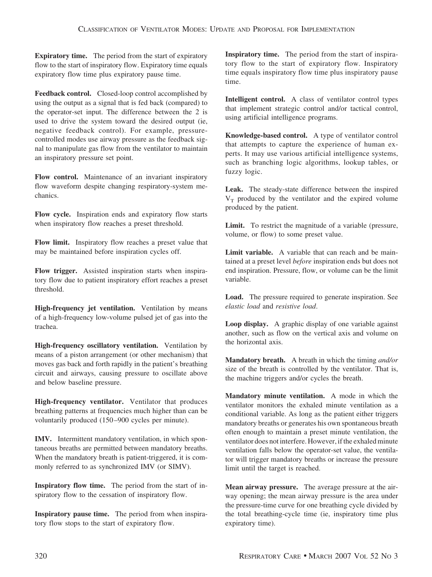**Expiratory time.** The period from the start of expiratory flow to the start of inspiratory flow. Expiratory time equals expiratory flow time plus expiratory pause time.

**Feedback control.** Closed-loop control accomplished by using the output as a signal that is fed back (compared) to the operator-set input. The difference between the 2 is used to drive the system toward the desired output (ie, negative feedback control). For example, pressurecontrolled modes use airway pressure as the feedback signal to manipulate gas flow from the ventilator to maintain an inspiratory pressure set point.

**Flow control.** Maintenance of an invariant inspiratory flow waveform despite changing respiratory-system mechanics.

**Flow cycle.** Inspiration ends and expiratory flow starts when inspiratory flow reaches a preset threshold.

**Flow limit.** Inspiratory flow reaches a preset value that may be maintained before inspiration cycles off.

**Flow trigger.** Assisted inspiration starts when inspiratory flow due to patient inspiratory effort reaches a preset threshold.

**High-frequency jet ventilation.** Ventilation by means of a high-frequency low-volume pulsed jet of gas into the trachea.

**High-frequency oscillatory ventilation.** Ventilation by means of a piston arrangement (or other mechanism) that moves gas back and forth rapidly in the patient's breathing circuit and airways, causing pressure to oscillate above and below baseline pressure.

**High-frequency ventilator.** Ventilator that produces breathing patterns at frequencies much higher than can be voluntarily produced (150 –900 cycles per minute).

**IMV.** Intermittent mandatory ventilation, in which spontaneous breaths are permitted between mandatory breaths. When the mandatory breath is patient-triggered, it is commonly referred to as synchronized IMV (or SIMV).

**Inspiratory flow time.** The period from the start of inspiratory flow to the cessation of inspiratory flow.

**Inspiratory pause time.** The period from when inspiratory flow stops to the start of expiratory flow.

**Inspiratory time.** The period from the start of inspiratory flow to the start of expiratory flow. Inspiratory time equals inspiratory flow time plus inspiratory pause time.

**Intelligent control.** A class of ventilator control types that implement strategic control and/or tactical control, using artificial intelligence programs.

**Knowledge-based control.** A type of ventilator control that attempts to capture the experience of human experts. It may use various artificial intelligence systems, such as branching logic algorithms, lookup tables, or fuzzy logic.

**Leak.** The steady-state difference between the inspired  $V<sub>T</sub>$  produced by the ventilator and the expired volume produced by the patient.

**Limit.** To restrict the magnitude of a variable (pressure, volume, or flow) to some preset value.

**Limit variable.** A variable that can reach and be maintained at a preset level *before* inspiration ends but does not end inspiration. Pressure, flow, or volume can be the limit variable.

**Load.** The pressure required to generate inspiration. See *elastic load* and *resistive load*.

**Loop display.** A graphic display of one variable against another, such as flow on the vertical axis and volume on the horizontal axis.

**Mandatory breath.** A breath in which the timing *and/or* size of the breath is controlled by the ventilator. That is, the machine triggers and/or cycles the breath.

**Mandatory minute ventilation.** A mode in which the ventilator monitors the exhaled minute ventilation as a conditional variable. As long as the patient either triggers mandatory breaths or generates his own spontaneous breath often enough to maintain a preset minute ventilation, the ventilator does not interfere. However, if the exhaled minute ventilation falls below the operator-set value, the ventilator will trigger mandatory breaths or increase the pressure limit until the target is reached.

**Mean airway pressure.** The average pressure at the airway opening; the mean airway pressure is the area under the pressure-time curve for one breathing cycle divided by the total breathing-cycle time (ie, inspiratory time plus expiratory time).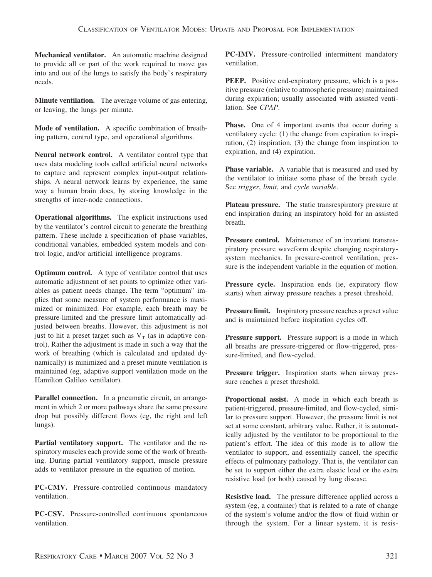**Mechanical ventilator.** An automatic machine designed to provide all or part of the work required to move gas into and out of the lungs to satisfy the body's respiratory needs.

**Minute ventilation.** The average volume of gas entering, or leaving, the lungs per minute.

**Mode of ventilation.** A specific combination of breathing pattern, control type, and operational algorithms.

**Neural network control.** A ventilator control type that uses data modeling tools called artificial neural networks to capture and represent complex input-output relationships. A neural network learns by experience, the same way a human brain does, by storing knowledge in the strengths of inter-node connections.

**Operational algorithms.** The explicit instructions used by the ventilator's control circuit to generate the breathing pattern. These include a specification of phase variables, conditional variables, embedded system models and control logic, and/or artificial intelligence programs.

**Optimum control.** A type of ventilator control that uses automatic adjustment of set points to optimize other variables as patient needs change. The term "optimum" implies that some measure of system performance is maximized or minimized. For example, each breath may be pressure-limited and the pressure limit automatically adjusted between breaths. However, this adjustment is not just to hit a preset target such as  $V_T$  (as in adaptive control). Rather the adjustment is made in such a way that the work of breathing (which is calculated and updated dynamically) is minimized and a preset minute ventilation is maintained (eg, adaptive support ventilation mode on the Hamilton Galileo ventilator).

Parallel connection. In a pneumatic circuit, an arrangement in which 2 or more pathways share the same pressure drop but possibly different flows (eg, the right and left lungs).

**Partial ventilatory support.** The ventilator and the respiratory muscles each provide some of the work of breathing. During partial ventilatory support, muscle pressure adds to ventilator pressure in the equation of motion.

**PC-CMV.** Pressure-controlled continuous mandatory ventilation.

**PC-CSV.** Pressure-controlled continuous spontaneous ventilation.

**PC-IMV.** Pressure-controlled intermittent mandatory ventilation.

**PEEP.** Positive end-expiratory pressure, which is a positive pressure (relative to atmospheric pressure) maintained during expiration; usually associated with assisted ventilation. See *CPAP*.

**Phase.** One of 4 important events that occur during a ventilatory cycle: (1) the change from expiration to inspiration, (2) inspiration, (3) the change from inspiration to expiration, and (4) expiration.

**Phase variable.** A variable that is measured and used by the ventilator to initiate some phase of the breath cycle. See *trigger*, *limit*, and *cycle variable*.

**Plateau pressure.** The static transrespiratory pressure at end inspiration during an inspiratory hold for an assisted breath.

Pressure control. Maintenance of an invariant transrespiratory pressure waveform despite changing respiratorysystem mechanics. In pressure-control ventilation, pressure is the independent variable in the equation of motion.

Pressure cycle. Inspiration ends (ie, expiratory flow starts) when airway pressure reaches a preset threshold.

**Pressure limit.** Inspiratory pressure reaches a preset value and is maintained before inspiration cycles off.

**Pressure support.** Pressure support is a mode in which all breaths are pressure-triggered or flow-triggered, pressure-limited, and flow-cycled.

**Pressure trigger.** Inspiration starts when airway pressure reaches a preset threshold.

**Proportional assist.** A mode in which each breath is patient-triggered, pressure-limited, and flow-cycled, similar to pressure support. However, the pressure limit is not set at some constant, arbitrary value. Rather, it is automatically adjusted by the ventilator to be proportional to the patient's effort. The idea of this mode is to allow the ventilator to support, and essentially cancel, the specific effects of pulmonary pathology. That is, the ventilator can be set to support either the extra elastic load or the extra resistive load (or both) caused by lung disease.

**Resistive load.** The pressure difference applied across a system (eg, a container) that is related to a rate of change of the system's volume and/or the flow of fluid within or through the system. For a linear system, it is resis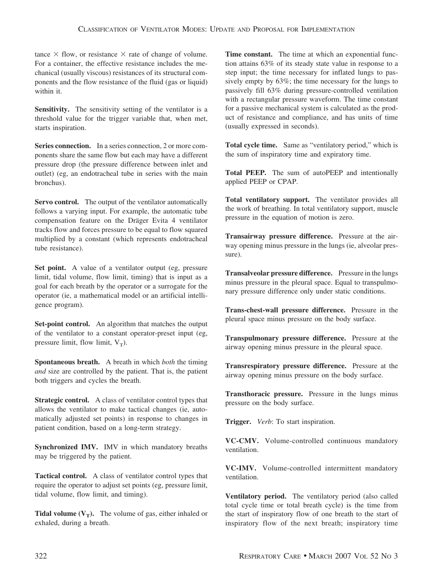tance  $\times$  flow, or resistance  $\times$  rate of change of volume. For a container, the effective resistance includes the mechanical (usually viscous) resistances of its structural components and the flow resistance of the fluid (gas or liquid) within it.

**Sensitivity.** The sensitivity setting of the ventilator is a threshold value for the trigger variable that, when met, starts inspiration.

**Series connection.** In a series connection, 2 or more components share the same flow but each may have a different pressure drop (the pressure difference between inlet and outlet) (eg, an endotracheal tube in series with the main bronchus).

**Servo control.** The output of the ventilator automatically follows a varying input. For example, the automatic tube compensation feature on the Dräger Evita 4 ventilator tracks flow and forces pressure to be equal to flow squared multiplied by a constant (which represents endotracheal tube resistance).

Set point. A value of a ventilator output (eg, pressure limit, tidal volume, flow limit, timing) that is input as a goal for each breath by the operator or a surrogate for the operator (ie, a mathematical model or an artificial intelligence program).

**Set-point control.** An algorithm that matches the output of the ventilator to a constant operator-preset input (eg, pressure limit, flow limit,  $V_T$ ).

**Spontaneous breath.** A breath in which *both* the timing *and* size are controlled by the patient. That is, the patient both triggers and cycles the breath.

**Strategic control.** A class of ventilator control types that allows the ventilator to make tactical changes (ie, automatically adjusted set points) in response to changes in patient condition, based on a long-term strategy.

**Synchronized IMV.** IMV in which mandatory breaths may be triggered by the patient.

**Tactical control.** A class of ventilator control types that require the operator to adjust set points (eg, pressure limit, tidal volume, flow limit, and timing).

**Tidal volume**  $(V_T)$ **.** The volume of gas, either inhaled or exhaled, during a breath.

**Time constant.** The time at which an exponential function attains 63% of its steady state value in response to a step input; the time necessary for inflated lungs to passively empty by 63%; the time necessary for the lungs to passively fill 63% during pressure-controlled ventilation with a rectangular pressure waveform. The time constant for a passive mechanical system is calculated as the product of resistance and compliance, and has units of time (usually expressed in seconds).

**Total cycle time.** Same as "ventilatory period," which is the sum of inspiratory time and expiratory time.

**Total PEEP.** The sum of autoPEEP and intentionally applied PEEP or CPAP.

**Total ventilatory support.** The ventilator provides all the work of breathing. In total ventilatory support, muscle pressure in the equation of motion is zero.

**Transairway pressure difference.** Pressure at the airway opening minus pressure in the lungs (ie, alveolar pressure).

**Transalveolar pressure difference.** Pressure in the lungs minus pressure in the pleural space. Equal to transpulmonary pressure difference only under static conditions.

**Trans-chest-wall pressure difference.** Pressure in the pleural space minus pressure on the body surface.

**Transpulmonary pressure difference.** Pressure at the airway opening minus pressure in the pleural space.

**Transrespiratory pressure difference.** Pressure at the airway opening minus pressure on the body surface.

**Transthoracic pressure.** Pressure in the lungs minus pressure on the body surface.

**Trigger.** *Verb*: To start inspiration.

**VC-CMV.** Volume-controlled continuous mandatory ventilation.

**VC-IMV.** Volume-controlled intermittent mandatory ventilation.

**Ventilatory period.** The ventilatory period (also called total cycle time or total breath cycle) is the time from the start of inspiratory flow of one breath to the start of inspiratory flow of the next breath; inspiratory time